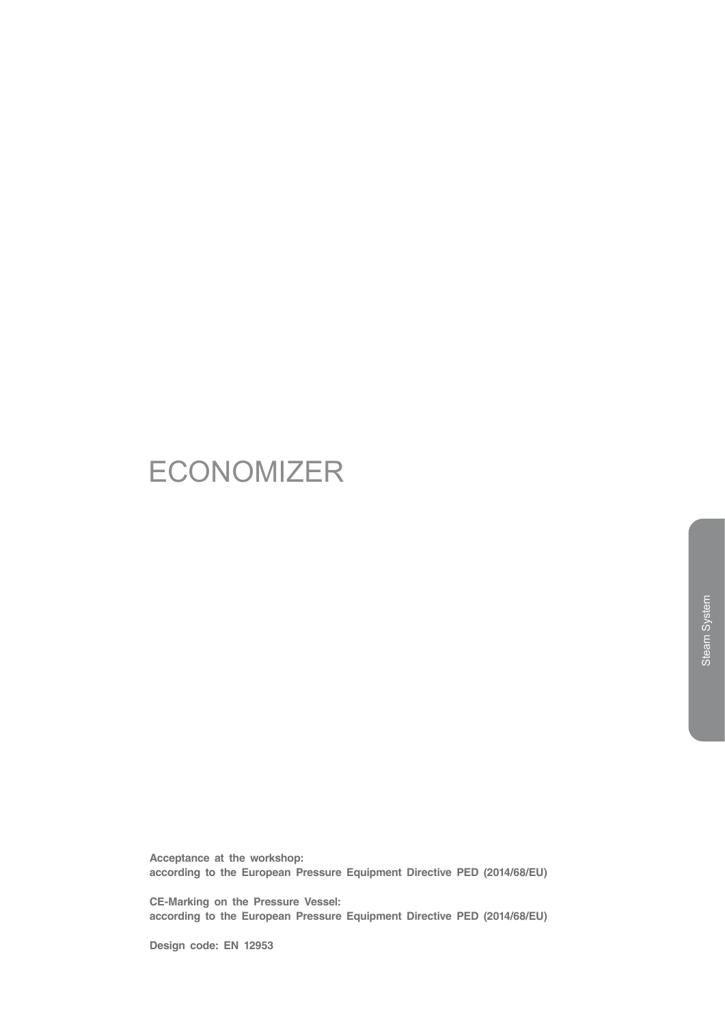# **ECONOMIZER**

**Acceptance at the workshop: according to the European Pressure Equipment Directive PED (2014/68/EU)**

**CE-Marking on the Pressure Vessel: according to the European Pressure Equipment Directive PED (2014/68/EU)**

**Design code: EN 12953**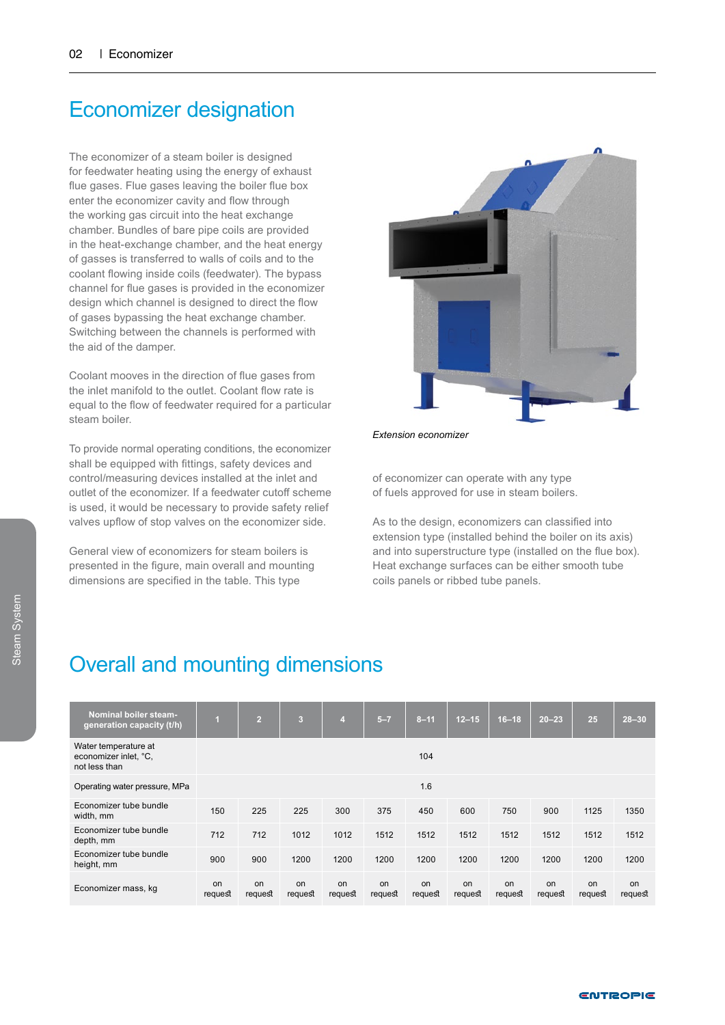### Economizer designation

The economizer of a steam boiler is designed for feedwater heating using the energy of exhaust flue gases. Flue gases leaving the boiler flue box enter the economizer cavity and flow through the working gas circuit into the heat exchange chamber. Bundles of bare pipe coils are provided in the heat-exchange chamber, and the heat energy of gasses is transferred to walls of coils and to the coolant flowing inside coils (feedwater). The bypass channel for flue gases is provided in the economizer design which channel is designed to direct the flow of gases bypassing the heat exchange chamber. Switching between the channels is performed with the aid of the damper.

Coolant mooves in the direction of flue gases from the inlet manifold to the outlet. Coolant flow rate is equal to the flow of feedwater required for a particular steam boiler.

To provide normal operating conditions, the economizer shall be equipped with fittings, safety devices and control/measuring devices installed at the inlet and outlet of the economizer. If a feedwater cutoff scheme is used, it would be necessary to provide safety relief valves upflow of stop valves on the economizer side.

General view of economizers for steam boilers is presented in the figure, main overall and mounting dimensions are specified in the table. This type



*Extension economizer*

of economizer can operate with any type of fuels approved for use in steam boilers.

As to the design, economizers can classified into extension type (installed behind the boiler on its axis) and into superstructure type (installed on the flue box). Heat exchange surfaces can be either smooth tube coils panels or ribbed tube panels.

#### Overall and mounting dimensions

| <b>Nominal boiler steam-</b><br>generation capacity (t/h)      | 1             | $\overline{2}$ | $\overline{3}$ | $\overline{4}$ | $5 - 7$       | $8 - 11$      | $12 - 15$     | $16 - 18$     | $20 - 23$     | 25            | $28 - 30$     |
|----------------------------------------------------------------|---------------|----------------|----------------|----------------|---------------|---------------|---------------|---------------|---------------|---------------|---------------|
| Water temperature at<br>economizer inlet, °C,<br>not less than |               |                |                |                |               | 104           |               |               |               |               |               |
| Operating water pressure, MPa                                  | 1.6           |                |                |                |               |               |               |               |               |               |               |
| Economizer tube bundle<br>width, mm                            | 150           | 225            | 225            | 300            | 375           | 450           | 600           | 750           | 900           | 1125          | 1350          |
| Economizer tube bundle<br>depth, mm                            | 712           | 712            | 1012           | 1012           | 1512          | 1512          | 1512          | 1512          | 1512          | 1512          | 1512          |
| Economizer tube bundle<br>height, mm                           | 900           | 900            | 1200           | 1200           | 1200          | 1200          | 1200          | 1200          | 1200          | 1200          | 1200          |
| Economizer mass, kg                                            | on<br>request | on<br>request  | on<br>request  | on<br>request  | on<br>request | on<br>request | on<br>request | on<br>request | on<br>request | on<br>request | on<br>request |